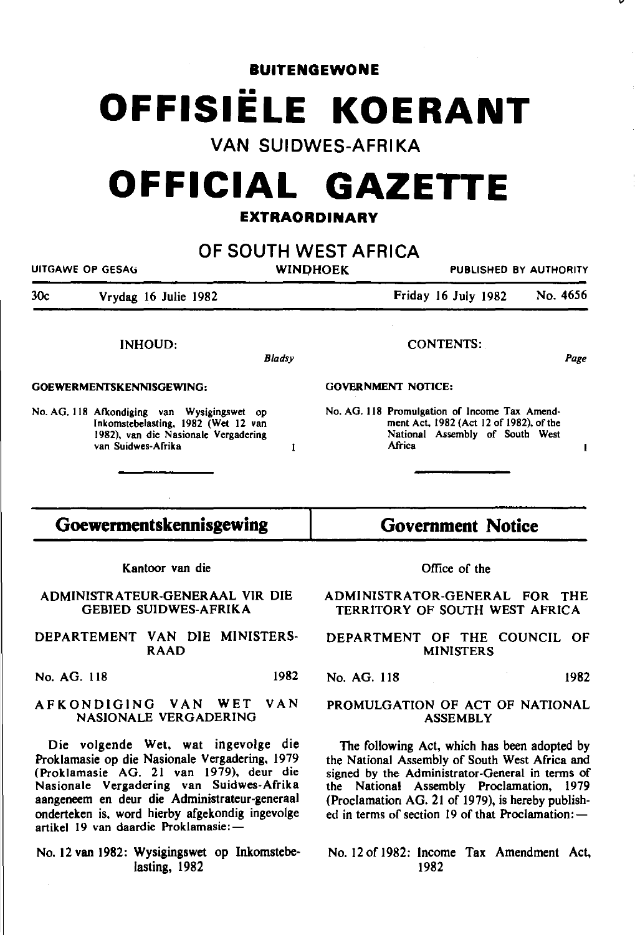**BUITENGEWONE** 

# **OFFISIELE KOERANT**

## **VAN SUIDWES-AFRIKA**

# **OFFICIAL GAZETTE**

#### **EXTRAORDINARY**

| UITGAWE OP GESAG                            | OF SOUTH WEST AFRICA<br><b>WINDHOEK</b><br><b>PUBLISHED BY AUTHORITY</b> |
|---------------------------------------------|--------------------------------------------------------------------------|
| 30c                                         | Friday 16 July 1982                                                      |
| Vrydag 16 Julie 1982                        | No. 4656                                                                 |
| <b>INHOUD:</b>                              | <b>CONTENTS:</b>                                                         |
| <b>Bladsy</b>                               | Page                                                                     |
| GOEWERMENTSKENNISGEWING:                    | <b>GOVERNMENT NOTICE:</b>                                                |
| No. AG. 118 Afkondiging van Wysigingswet op | No. AG. 118 Promulgation of Income Tax Amend-                            |
| Inkomstebelasting, 1982 (Wet 12 van         | ment Act, 1982 (Act 12 of 1982), of the                                  |
| 1982), van die Nasionale Vergadering        | National Assembly of South West                                          |
| van Suidwes-Afrika                          | <b>Africa</b>                                                            |
| 1                                           | 1                                                                        |
|                                             |                                                                          |
| Goewermentskennisgewing                     | <b>Government Notice</b>                                                 |
| Kantoor van die                             | Office of the                                                            |
| ADMINISTRATEUR-GENERAAL VIR DIE             | ADMINISTRATOR-GENERAL FOR THE                                            |
| <b>GEBIED SUIDWES-AFRIKA</b>                | TERRITORY OF SOUTH WEST AFRICA                                           |
| DEPARTEMENT VAN DIE MINISTERS-              | DEPARTMENT OF THE COUNCIL OF                                             |
| <b>RAAD</b>                                 | <b>MINISTERS</b>                                                         |
| 1982                                        | No. AG. 118                                                              |
| No. AG. 118                                 | 1982                                                                     |

Die volgende Wet, wat ingevolge die Proklamasie op die Nasionale Vergadering, 1979 (Proklamasie AG. 21 van 1979), deur die Nasionale Vergadering van Suidwes-Afrika aangeneem en deur die Administrateur-generaal onderteken is, word hierby afgekondig ingevolge

No. 12 van 1982: Wysigingswet op lnkomstebelasting, 1982

artikel 19 van daardie Proklamasie:-

The following Act, which has been adopted by the National Assembly of South West Africa and signed by the Administrator-General in terms of the National Assembly Proclamation, 1979 (Proclamation AG. 21 of 1979), is hereby published in terms of section 19 of that Proclamation: $-$ 

*v* 

No. 12 of 1982: Income Tax Amendment Act, 1982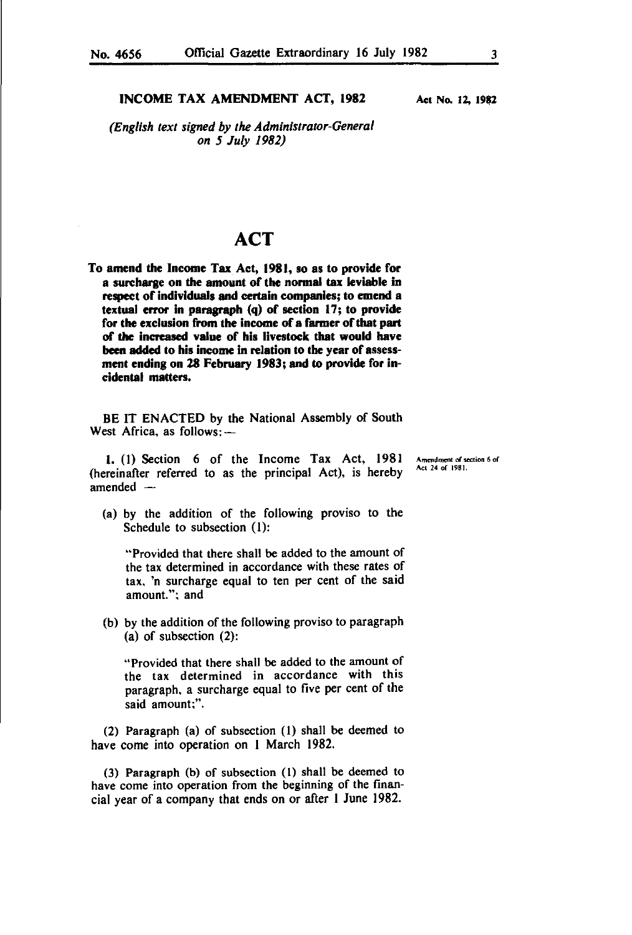#### INCOME TAX AMENDMENT ACT, 1982

*(English text signed by the Administrator-General on 5 July 1982)* 

### **ACT**

To amend the Income Tax Act, 1981, so as to provide for a surcharge on the amount of the normal tax leviable in respect of individuals and certain companies; to emend a textual error in paragraph  $(q)$  of section 17; to provide for the exclusion from the income of a farmer of that part of the increased value of his livestock that would have been added to his income in relation to the year of assessment ending on 28 February 1983; and to provide for incidental matters.

BE IT ENACTED by the National Assembly of South West Africa, as follows: $-$ 

1. (I) Section 6 of the Income Tax Act, 1981 (hereinafier referred to as the principal Act), is hereby amended

Amendment of section 6 of Act 24 of 1981.

(a) by the addition of the following proviso to the Schedule to subsection (I):

"Provided that there shall be added to the amount of the tax determined in accordance with these rates of tax, 'n surcharge equal to ten per cent of the said amount.": and

(b) by the addition of the following proviso to paragraph (a) of subsection (2):

"Provided that there shall be added to the amount of the tax determined in accordance with this paragraph. a surcharge equal to five per cent of the said amount;".

(2) Paragraph (a) of subsection (I) shall be deemed to have come into operation on I March 1982.

(3) Paragraph (b) of subsection (I) shall be deemed to have come into operation from the beginning of the financial year of a company that ends on or afier I June 1982.

Aet No. 12, 1982